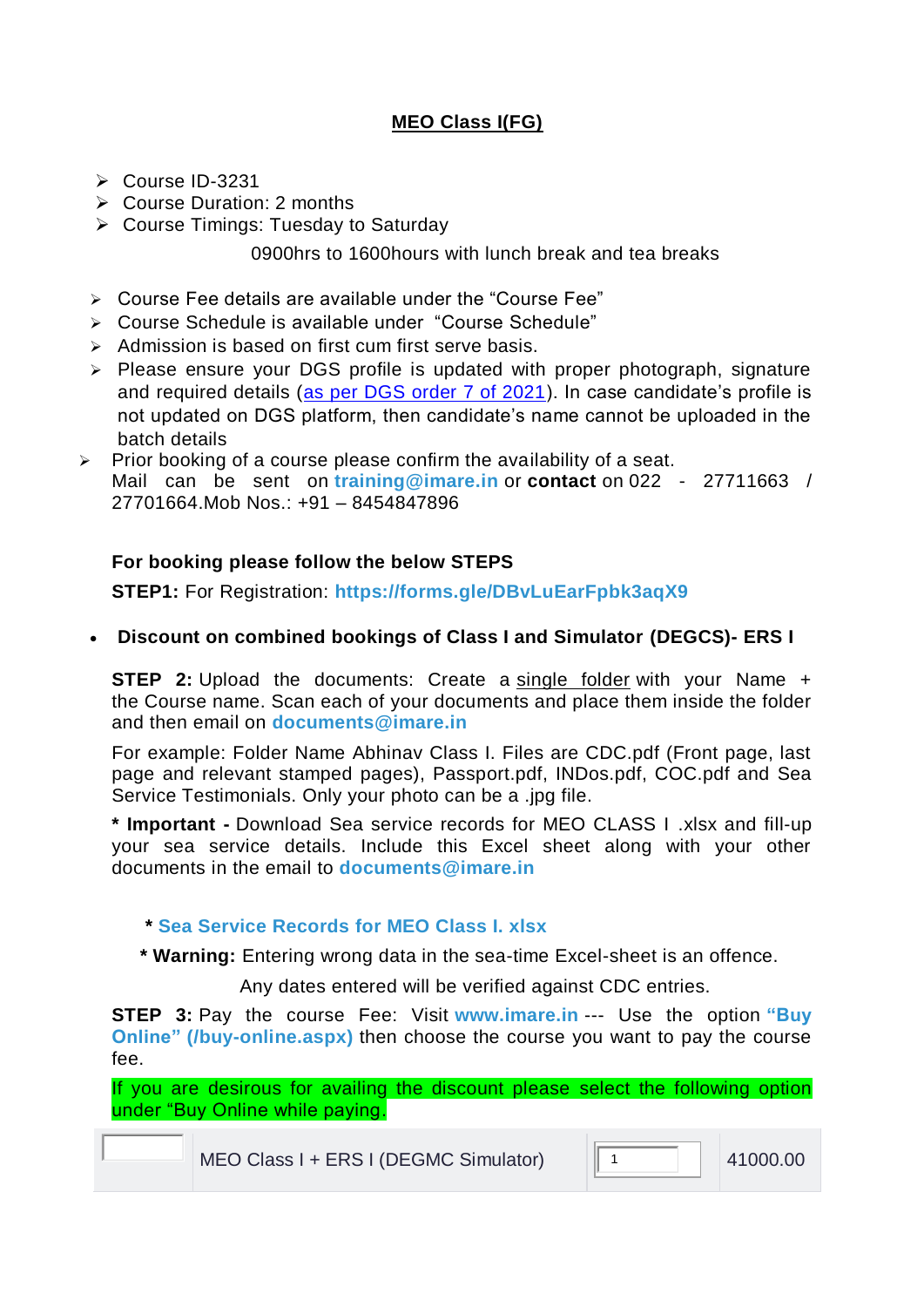## **MEO Class I(FG)**

- Course ID-3231
- $\triangleright$  Course Duration: 2 months
- $\triangleright$  Course Timings: Tuesday to Saturday

0900hrs to 1600hours with lunch break and tea breaks

- Course Fee details are available under the "Course Fee"
- Course Schedule is available under "Course Schedule"
- $\geq$  Admission is based on first cum first serve basis.
- $\triangleright$  Please ensure your DGS profile is updated with proper photograph, signature and required details [\(as per DGS order 7 of 2021\)](https://www.dgshipping.gov.in/writereaddata/ShippingNotices/202101280614386857952DGS_order_7of2021_28012021.pdf). In case candidate's profile is not updated on DGS platform, then candidate's name cannot be uploaded in the batch details
- $\triangleright$  Prior booking of a course please confirm the availability of a seat. Mail can be sent on **[training@imare.in](mailto:training@imare.in)** or **contact** on 022 - 27711663 / 27701664.Mob Nos.: +91 – 8454847896

## **For booking please follow the below STEPS**

**STEP1:** For Registration: **<https://forms.gle/DBvLuEarFpbk3aqX9>**

**Discount on combined bookings of Class I and Simulator (DEGCS)- ERS I**

**STEP 2:** Upload the documents: Create a single folder with your Name + the Course name. Scan each of your documents and place them inside the folder and then email on **[documents@imare.in](mailto:documents@imare.in)**

For example: Folder Name Abhinav Class I. Files are CDC.pdf (Front page, last page and relevant stamped pages), Passport.pdf, INDos.pdf, COC.pdf and Sea Service Testimonials. Only your photo can be a .jpg file.

**\* Important -** Download Sea service records for MEO CLASS I .xlsx and fill-up your sea service details. Include this Excel sheet along with your other documents in the email to **[documents@imare.in](mailto:documents@imare.in)**

## **\* [Sea Service Records for MEO Class I. xlsx](https://imare.in/media/70501/Sea-service-record-for-Class-I-1-.xlsx)**

**\* Warning:** Entering wrong data in the sea-time Excel-sheet is an offence.

Any dates entered will be verified against CDC entries.

**STEP 3:** Pay the course Fee: Visit **[www.imare.in](http://www.imare.in/)** --- Use the option **["Buy](https://imare.in/buy-online.aspx)  [Online"](https://imare.in/buy-online.aspx) [\(/buy-online.aspx\)](https://imare.in/buy-online.aspx)** then choose the course you want to pay the course fee.

If you are desirous for availing the discount please select the following option under "Buy Online while paying.

MEO Class I + ERS I (DEGMC Simulator)